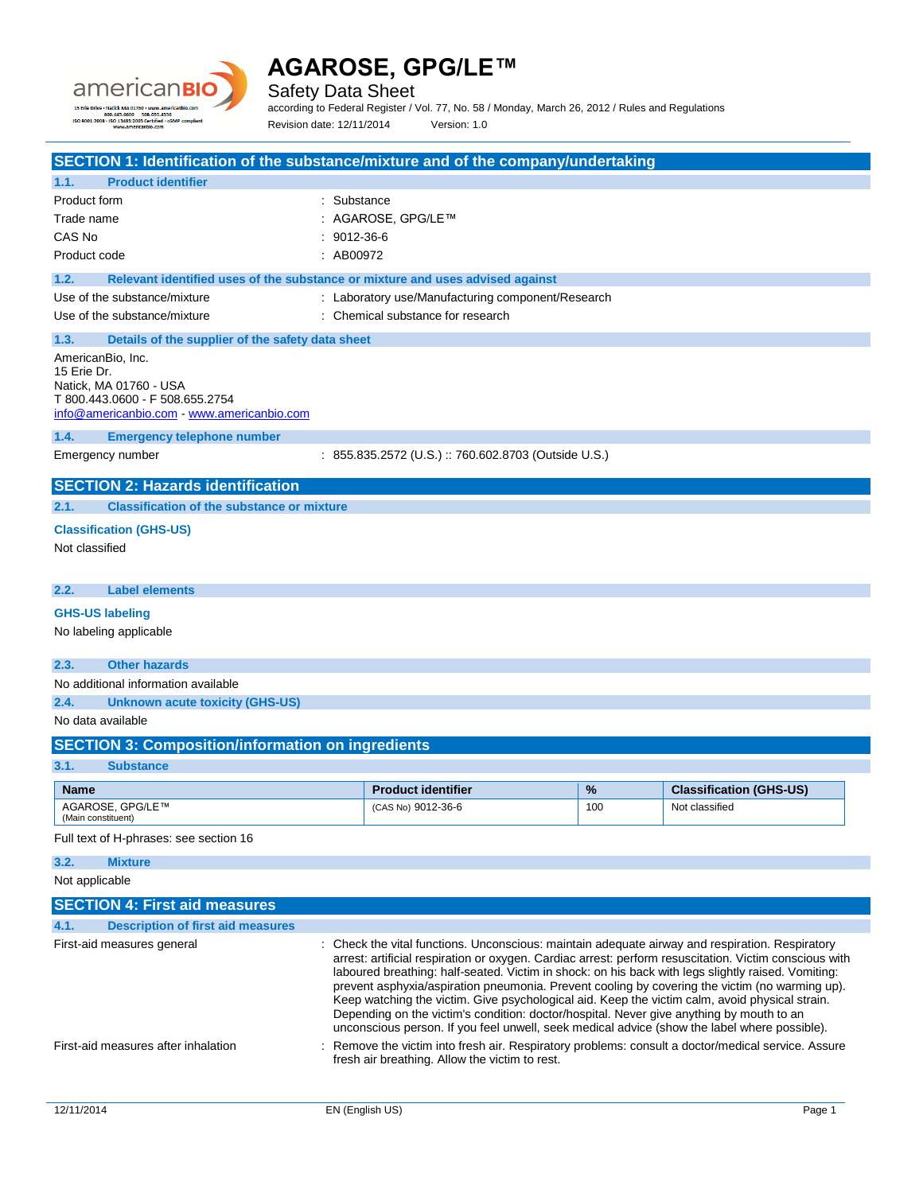

Safety Data Sheet

according to Federal Register / Vol. 77, No. 58 / Monday, March 26, 2012 / Rules and Regulations Revision date: 12/11/2014 Version: 1.0

| SECTION 1: Identification of the substance/mixture and of the company/undertaking                                                                                                                                                                                                                                                                                                                                                                                                                                                                                                                                                                                                                                                                                                                                                                                                                                                          |                                       |                                                                                        |     |                                |
|--------------------------------------------------------------------------------------------------------------------------------------------------------------------------------------------------------------------------------------------------------------------------------------------------------------------------------------------------------------------------------------------------------------------------------------------------------------------------------------------------------------------------------------------------------------------------------------------------------------------------------------------------------------------------------------------------------------------------------------------------------------------------------------------------------------------------------------------------------------------------------------------------------------------------------------------|---------------------------------------|----------------------------------------------------------------------------------------|-----|--------------------------------|
| <b>Product identifier</b><br>1.1.                                                                                                                                                                                                                                                                                                                                                                                                                                                                                                                                                                                                                                                                                                                                                                                                                                                                                                          |                                       |                                                                                        |     |                                |
| Product form<br>Trade name<br>CAS No<br>Product code                                                                                                                                                                                                                                                                                                                                                                                                                                                                                                                                                                                                                                                                                                                                                                                                                                                                                       | : Substance<br>9012-36-6<br>: AB00972 | : AGAROSE, GPG/LE™                                                                     |     |                                |
| 1.2.<br>Relevant identified uses of the substance or mixture and uses advised against                                                                                                                                                                                                                                                                                                                                                                                                                                                                                                                                                                                                                                                                                                                                                                                                                                                      |                                       |                                                                                        |     |                                |
| Use of the substance/mixture<br>Use of the substance/mixture                                                                                                                                                                                                                                                                                                                                                                                                                                                                                                                                                                                                                                                                                                                                                                                                                                                                               |                                       | : Laboratory use/Manufacturing component/Research<br>: Chemical substance for research |     |                                |
| 1.3.<br>Details of the supplier of the safety data sheet                                                                                                                                                                                                                                                                                                                                                                                                                                                                                                                                                                                                                                                                                                                                                                                                                                                                                   |                                       |                                                                                        |     |                                |
| AmericanBio, Inc.<br>15 Erie Dr.<br>Natick, MA 01760 - USA<br>T 800.443.0600 - F 508.655.2754<br>info@americanbio.com www.americanbio.com                                                                                                                                                                                                                                                                                                                                                                                                                                                                                                                                                                                                                                                                                                                                                                                                  |                                       |                                                                                        |     |                                |
| 1.4.<br><b>Emergency telephone number</b>                                                                                                                                                                                                                                                                                                                                                                                                                                                                                                                                                                                                                                                                                                                                                                                                                                                                                                  |                                       |                                                                                        |     |                                |
| Emergency number                                                                                                                                                                                                                                                                                                                                                                                                                                                                                                                                                                                                                                                                                                                                                                                                                                                                                                                           |                                       | : 855.835.2572 (U.S.) :: 760.602.8703 (Outside U.S.)                                   |     |                                |
| <b>SECTION 2: Hazards identification</b>                                                                                                                                                                                                                                                                                                                                                                                                                                                                                                                                                                                                                                                                                                                                                                                                                                                                                                   |                                       |                                                                                        |     |                                |
| <b>Classification of the substance or mixture</b><br>2.1.                                                                                                                                                                                                                                                                                                                                                                                                                                                                                                                                                                                                                                                                                                                                                                                                                                                                                  |                                       |                                                                                        |     |                                |
| <b>Classification (GHS-US)</b><br>Not classified                                                                                                                                                                                                                                                                                                                                                                                                                                                                                                                                                                                                                                                                                                                                                                                                                                                                                           |                                       |                                                                                        |     |                                |
| 2.2.<br><b>Label elements</b>                                                                                                                                                                                                                                                                                                                                                                                                                                                                                                                                                                                                                                                                                                                                                                                                                                                                                                              |                                       |                                                                                        |     |                                |
| <b>GHS-US labeling</b>                                                                                                                                                                                                                                                                                                                                                                                                                                                                                                                                                                                                                                                                                                                                                                                                                                                                                                                     |                                       |                                                                                        |     |                                |
| No labeling applicable                                                                                                                                                                                                                                                                                                                                                                                                                                                                                                                                                                                                                                                                                                                                                                                                                                                                                                                     |                                       |                                                                                        |     |                                |
| <b>Other hazards</b><br>2.3.                                                                                                                                                                                                                                                                                                                                                                                                                                                                                                                                                                                                                                                                                                                                                                                                                                                                                                               |                                       |                                                                                        |     |                                |
| No additional information available                                                                                                                                                                                                                                                                                                                                                                                                                                                                                                                                                                                                                                                                                                                                                                                                                                                                                                        |                                       |                                                                                        |     |                                |
| 2.4.<br><b>Unknown acute toxicity (GHS-US)</b>                                                                                                                                                                                                                                                                                                                                                                                                                                                                                                                                                                                                                                                                                                                                                                                                                                                                                             |                                       |                                                                                        |     |                                |
| No data available                                                                                                                                                                                                                                                                                                                                                                                                                                                                                                                                                                                                                                                                                                                                                                                                                                                                                                                          |                                       |                                                                                        |     |                                |
| <b>SECTION 3: Composition/information on ingredients</b>                                                                                                                                                                                                                                                                                                                                                                                                                                                                                                                                                                                                                                                                                                                                                                                                                                                                                   |                                       |                                                                                        |     |                                |
| 3.1.<br><b>Substance</b>                                                                                                                                                                                                                                                                                                                                                                                                                                                                                                                                                                                                                                                                                                                                                                                                                                                                                                                   |                                       |                                                                                        |     |                                |
| <b>Name</b>                                                                                                                                                                                                                                                                                                                                                                                                                                                                                                                                                                                                                                                                                                                                                                                                                                                                                                                                |                                       | <b>Product identifier</b>                                                              | %   | <b>Classification (GHS-US)</b> |
| AGAROSE, GPG/LE™<br>(Main constituent)                                                                                                                                                                                                                                                                                                                                                                                                                                                                                                                                                                                                                                                                                                                                                                                                                                                                                                     |                                       | (CAS No) 9012-36-6                                                                     | 100 | Not classified                 |
| Full text of H-phrases: see section 16                                                                                                                                                                                                                                                                                                                                                                                                                                                                                                                                                                                                                                                                                                                                                                                                                                                                                                     |                                       |                                                                                        |     |                                |
| <b>Mixture</b><br>3.2.                                                                                                                                                                                                                                                                                                                                                                                                                                                                                                                                                                                                                                                                                                                                                                                                                                                                                                                     |                                       |                                                                                        |     |                                |
| Not applicable                                                                                                                                                                                                                                                                                                                                                                                                                                                                                                                                                                                                                                                                                                                                                                                                                                                                                                                             |                                       |                                                                                        |     |                                |
| <b>SECTION 4: First aid measures</b>                                                                                                                                                                                                                                                                                                                                                                                                                                                                                                                                                                                                                                                                                                                                                                                                                                                                                                       |                                       |                                                                                        |     |                                |
| <b>Description of first aid measures</b><br>4.1.                                                                                                                                                                                                                                                                                                                                                                                                                                                                                                                                                                                                                                                                                                                                                                                                                                                                                           |                                       |                                                                                        |     |                                |
| : Check the vital functions. Unconscious: maintain adequate airway and respiration. Respiratory<br>First-aid measures general<br>arrest: artificial respiration or oxygen. Cardiac arrest: perform resuscitation. Victim conscious with<br>laboured breathing: half-seated. Victim in shock: on his back with legs slightly raised. Vomiting:<br>prevent asphyxia/aspiration pneumonia. Prevent cooling by covering the victim (no warming up).<br>Keep watching the victim. Give psychological aid. Keep the victim calm, avoid physical strain.<br>Depending on the victim's condition: doctor/hospital. Never give anything by mouth to an<br>unconscious person. If you feel unwell, seek medical advice (show the label where possible).<br>First-aid measures after inhalation<br>Remove the victim into fresh air. Respiratory problems: consult a doctor/medical service. Assure<br>fresh air breathing. Allow the victim to rest. |                                       |                                                                                        |     |                                |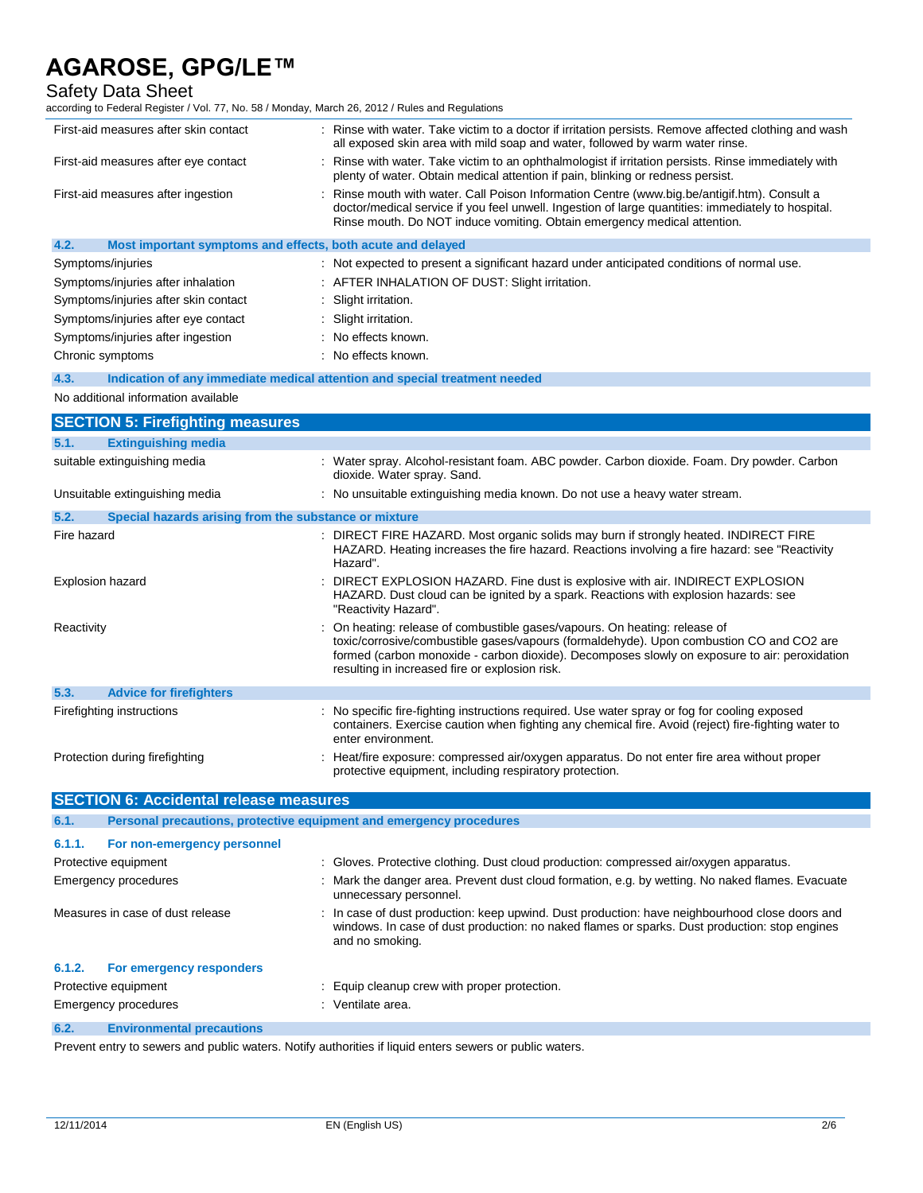## Safety Data Sheet

| according to Federal Register / Vol. 77, No. 58 / Monday, March 26, 2012 / Rules and Regulations |  |
|--------------------------------------------------------------------------------------------------|--|
|--------------------------------------------------------------------------------------------------|--|

| First-aid measures after skin contact                               | : Rinse with water. Take victim to a doctor if irritation persists. Remove affected clothing and wash<br>all exposed skin area with mild soap and water, followed by warm water rinse.                                                                                         |
|---------------------------------------------------------------------|--------------------------------------------------------------------------------------------------------------------------------------------------------------------------------------------------------------------------------------------------------------------------------|
| First-aid measures after eye contact                                | : Rinse with water. Take victim to an ophthalmologist if irritation persists. Rinse immediately with<br>plenty of water. Obtain medical attention if pain, blinking or redness persist.                                                                                        |
| First-aid measures after ingestion                                  | : Rinse mouth with water. Call Poison Information Centre (www.big.be/antigif.htm). Consult a<br>doctor/medical service if you feel unwell. Ingestion of large quantities: immediately to hospital.<br>Rinse mouth. Do NOT induce vomiting. Obtain emergency medical attention. |
| 4.2.<br>Most important symptoms and effects, both acute and delayed |                                                                                                                                                                                                                                                                                |
| Symptoms/injuries                                                   | : Not expected to present a significant hazard under anticipated conditions of normal use.                                                                                                                                                                                     |
| Symptoms/injuries after inhalation                                  | : AFTER INHALATION OF DUST: Slight irritation.                                                                                                                                                                                                                                 |
| Symptoms/injuries after skin contact                                | : Slight irritation.                                                                                                                                                                                                                                                           |
| Symptoms/injuries after eye contact                                 | : Slight irritation.                                                                                                                                                                                                                                                           |

|  |  | Symptoms/injuries after ingestion | No effects known. |
|--|--|-----------------------------------|-------------------|

| _____ |                  |                     |
|-------|------------------|---------------------|
|       | Chronic symptoms | : No effects known. |

**4.3. Indication of any immediate medical attention and special treatment needed**

## No additional information available

|                                | <b>SECTION 5: Firefighting measures</b>               |                                                                                                                                                                                                                                                                                                                           |  |
|--------------------------------|-------------------------------------------------------|---------------------------------------------------------------------------------------------------------------------------------------------------------------------------------------------------------------------------------------------------------------------------------------------------------------------------|--|
| 5.1.                           | <b>Extinguishing media</b>                            |                                                                                                                                                                                                                                                                                                                           |  |
|                                | suitable extinguishing media                          | : Water spray. Alcohol-resistant foam. ABC powder. Carbon dioxide. Foam. Dry powder. Carbon<br>dioxide. Water spray. Sand.                                                                                                                                                                                                |  |
|                                | Unsuitable extinguishing media                        | : No unsuitable extinguishing media known. Do not use a heavy water stream.                                                                                                                                                                                                                                               |  |
| 5.2.                           | Special hazards arising from the substance or mixture |                                                                                                                                                                                                                                                                                                                           |  |
| Fire hazard                    |                                                       | : DIRECT FIRE HAZARD. Most organic solids may burn if strongly heated. INDIRECT FIRE<br>HAZARD. Heating increases the fire hazard. Reactions involving a fire hazard: see "Reactivity"<br>Hazard".                                                                                                                        |  |
| <b>Explosion hazard</b>        |                                                       | : DIRECT EXPLOSION HAZARD. Fine dust is explosive with air. INDIRECT EXPLOSION<br>HAZARD. Dust cloud can be ignited by a spark. Reactions with explosion hazards: see<br>"Reactivity Hazard".                                                                                                                             |  |
| Reactivity                     |                                                       | : On heating: release of combustible gases/vapours. On heating: release of<br>toxic/corrosive/combustible gases/vapours (formaldehyde). Upon combustion CO and CO2 are<br>formed (carbon monoxide - carbon dioxide). Decomposes slowly on exposure to air: peroxidation<br>resulting in increased fire or explosion risk. |  |
| 5.3.                           | <b>Advice for firefighters</b>                        |                                                                                                                                                                                                                                                                                                                           |  |
|                                | Firefighting instructions                             | : No specific fire-fighting instructions required. Use water spray or fog for cooling exposed<br>containers. Exercise caution when fighting any chemical fire. Avoid (reject) fire-fighting water to<br>enter environment.                                                                                                |  |
| Protection during firefighting |                                                       | : Heat/fire exposure: compressed air/oxygen apparatus. Do not enter fire area without proper<br>protective equipment, including respiratory protection.                                                                                                                                                                   |  |

| <b>SECTION 6: Accidental release measures</b> |                             |                                                                                                                                                                                                                    |  |  |
|-----------------------------------------------|-----------------------------|--------------------------------------------------------------------------------------------------------------------------------------------------------------------------------------------------------------------|--|--|
| 6.1.                                          |                             | Personal precautions, protective equipment and emergency procedures                                                                                                                                                |  |  |
| 6.1.1.                                        | For non-emergency personnel |                                                                                                                                                                                                                    |  |  |
|                                               | Protective equipment        | : Gloves. Protective clothing. Dust cloud production: compressed air/oxygen apparatus.                                                                                                                             |  |  |
| Emergency procedures                          |                             | : Mark the danger area. Prevent dust cloud formation, e.g. by wetting. No naked flames. Evacuate<br>unnecessary personnel.                                                                                         |  |  |
| Measures in case of dust release              |                             | : In case of dust production: keep upwind. Dust production: have neighbourhood close doors and<br>windows. In case of dust production: no naked flames or sparks. Dust production: stop engines<br>and no smoking. |  |  |
| 6.1.2.                                        | For emergency responders    |                                                                                                                                                                                                                    |  |  |
| Protective equipment                          |                             | : Equip cleanup crew with proper protection.                                                                                                                                                                       |  |  |
| <b>Emergency procedures</b>                   |                             | : Ventilate area.                                                                                                                                                                                                  |  |  |
| 6.2.<br><b>Environmental precautions</b>      |                             |                                                                                                                                                                                                                    |  |  |

Prevent entry to sewers and public waters. Notify authorities if liquid enters sewers or public waters.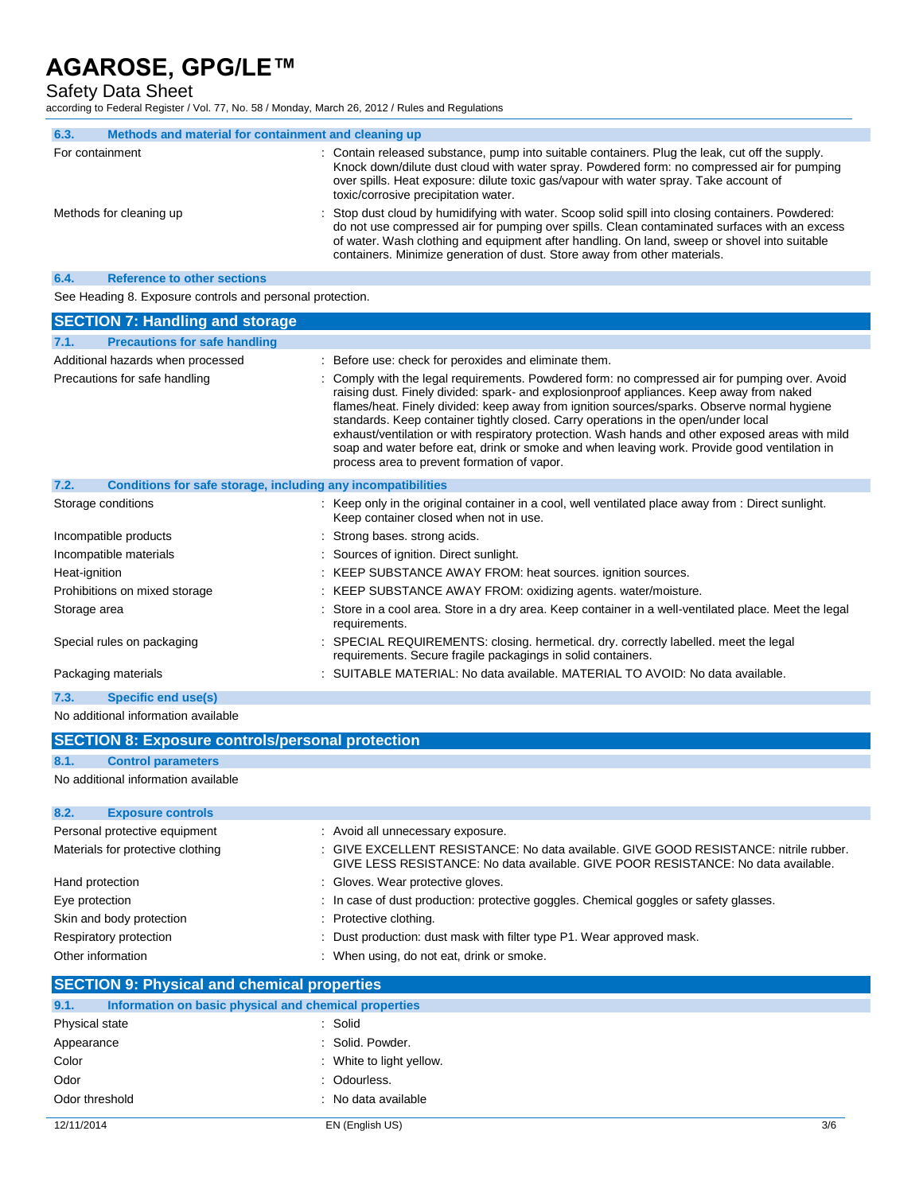## Safety Data Sheet

according to Federal Register / Vol. 77, No. 58 / Monday, March 26, 2012 / Rules and Regulations

| 6.3.                    | Methods and material for containment and cleaning up |                                                                                                                                                                                                                                                                                                                                                                                 |
|-------------------------|------------------------------------------------------|---------------------------------------------------------------------------------------------------------------------------------------------------------------------------------------------------------------------------------------------------------------------------------------------------------------------------------------------------------------------------------|
| For containment         |                                                      | : Contain released substance, pump into suitable containers. Plug the leak, cut off the supply.<br>Knock down/dilute dust cloud with water spray. Powdered form: no compressed air for pumping<br>over spills. Heat exposure: dilute toxic gas/vapour with water spray. Take account of<br>toxic/corrosive precipitation water.                                                 |
| Methods for cleaning up |                                                      | : Stop dust cloud by humidifying with water. Scoop solid spill into closing containers. Powdered:<br>do not use compressed air for pumping over spills. Clean contaminated surfaces with an excess<br>of water. Wash clothing and equipment after handling. On land, sweep or shovel into suitable<br>containers. Minimize generation of dust. Store away from other materials. |
| 6.4.                    | <b>Reference to other sections</b>                   |                                                                                                                                                                                                                                                                                                                                                                                 |

See Heading 8. Exposure controls and personal protection.

| <b>SECTION 7: Handling and storage</b>                               |                                                                                                                                                                                                                                                                                                                                                                                                                                                                                                                                                                                                                                    |
|----------------------------------------------------------------------|------------------------------------------------------------------------------------------------------------------------------------------------------------------------------------------------------------------------------------------------------------------------------------------------------------------------------------------------------------------------------------------------------------------------------------------------------------------------------------------------------------------------------------------------------------------------------------------------------------------------------------|
| <b>Precautions for safe handling</b><br>7.1.                         |                                                                                                                                                                                                                                                                                                                                                                                                                                                                                                                                                                                                                                    |
| Additional hazards when processed                                    | : Before use: check for peroxides and eliminate them.                                                                                                                                                                                                                                                                                                                                                                                                                                                                                                                                                                              |
| Precautions for safe handling                                        | : Comply with the legal requirements. Powdered form: no compressed air for pumping over. Avoid<br>raising dust. Finely divided: spark- and explosionproof appliances. Keep away from naked<br>flames/heat. Finely divided: keep away from ignition sources/sparks. Observe normal hygiene<br>standards. Keep container tightly closed. Carry operations in the open/under local<br>exhaust/ventilation or with respiratory protection. Wash hands and other exposed areas with mild<br>soap and water before eat, drink or smoke and when leaving work. Provide good ventilation in<br>process area to prevent formation of vapor. |
| 7.2.<br>Conditions for safe storage, including any incompatibilities |                                                                                                                                                                                                                                                                                                                                                                                                                                                                                                                                                                                                                                    |
| Storage conditions                                                   | : Keep only in the original container in a cool, well ventilated place away from : Direct sunlight.<br>Keep container closed when not in use.                                                                                                                                                                                                                                                                                                                                                                                                                                                                                      |
| Incompatible products                                                | : Strong bases, strong acids.                                                                                                                                                                                                                                                                                                                                                                                                                                                                                                                                                                                                      |
| Incompatible materials                                               | : Sources of ignition. Direct sunlight.                                                                                                                                                                                                                                                                                                                                                                                                                                                                                                                                                                                            |
| Heat-ignition                                                        | : KEEP SUBSTANCE AWAY FROM: heat sources. ignition sources.                                                                                                                                                                                                                                                                                                                                                                                                                                                                                                                                                                        |
| Prohibitions on mixed storage                                        | : KEEP SUBSTANCE AWAY FROM: oxidizing agents. water/moisture.                                                                                                                                                                                                                                                                                                                                                                                                                                                                                                                                                                      |
| Storage area                                                         | : Store in a cool area. Store in a dry area. Keep container in a well-ventilated place. Meet the legal<br>requirements.                                                                                                                                                                                                                                                                                                                                                                                                                                                                                                            |
| Special rules on packaging                                           | : SPECIAL REQUIREMENTS: closing. hermetical. dry. correctly labelled. meet the legal<br>requirements. Secure fragile packagings in solid containers.                                                                                                                                                                                                                                                                                                                                                                                                                                                                               |
| Packaging materials                                                  | : SUITABLE MATERIAL: No data available. MATERIAL TO AVOID: No data available.                                                                                                                                                                                                                                                                                                                                                                                                                                                                                                                                                      |
| 7.3.<br><b>Specific end use(s)</b>                                   |                                                                                                                                                                                                                                                                                                                                                                                                                                                                                                                                                                                                                                    |
| No additional information available                                  |                                                                                                                                                                                                                                                                                                                                                                                                                                                                                                                                                                                                                                    |

|               | <b>SECTION 8: Exposure controls/personal protection</b> |  |  |
|---------------|---------------------------------------------------------|--|--|
| 8.1.          | <b>Control parameters</b>                               |  |  |
|               | No additional information available                     |  |  |
|               |                                                         |  |  |
| $\sim$ $\sim$ | ________                                                |  |  |

| O.A.<br><b>EXPOSURE CONTROLS</b>  |                                                                                                                                                                            |
|-----------------------------------|----------------------------------------------------------------------------------------------------------------------------------------------------------------------------|
| Personal protective equipment     | : Avoid all unnecessary exposure.                                                                                                                                          |
| Materials for protective clothing | : GIVE EXCELLENT RESISTANCE: No data available. GIVE GOOD RESISTANCE: nitrile rubber.<br>GIVE LESS RESISTANCE: No data available. GIVE POOR RESISTANCE: No data available. |
| Hand protection                   | : Gloves. Wear protective gloves.                                                                                                                                          |
| Eye protection                    | : In case of dust production: protective goggles. Chemical goggles or safety glasses.                                                                                      |
| Skin and body protection          | : Protective clothing.                                                                                                                                                     |
| Respiratory protection            | : Dust production: dust mask with filter type P1. Wear approved mask.                                                                                                      |
| Other information                 | : When using, do not eat, drink or smoke.                                                                                                                                  |
|                                   |                                                                                                                                                                            |

## **SECTION 9: Physical and chemical properties**

| 9.1.           | Information on basic physical and chemical properties |     |
|----------------|-------------------------------------------------------|-----|
| Physical state | : Solid                                               |     |
| Appearance     | : Solid. Powder.                                      |     |
| Color          | : White to light yellow.                              |     |
| Odor           | : Odourless.                                          |     |
| Odor threshold | : No data available                                   |     |
| 12/11/2014     | EN (English US)                                       | 3/6 |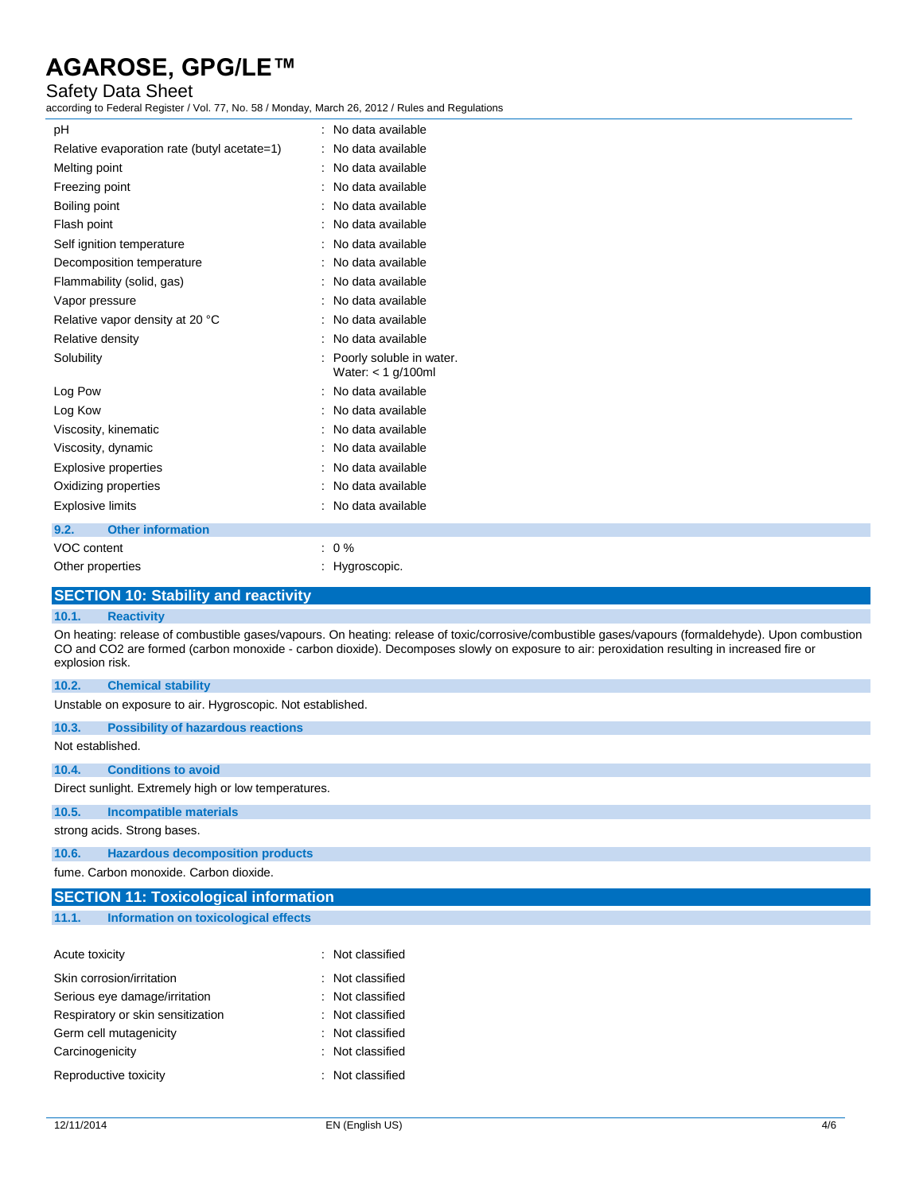## Safety Data Sheet

according to Federal Register / Vol. 77, No. 58 / Monday, March 26, 2012 / Rules and Regulations

| pH                                          | : No data available                                |
|---------------------------------------------|----------------------------------------------------|
| Relative evaporation rate (butyl acetate=1) | : No data available                                |
| Melting point                               | : No data available                                |
| Freezing point                              | : No data available                                |
| Boiling point                               | : No data available                                |
| Flash point                                 | : No data available                                |
| Self ignition temperature                   | : No data available                                |
| Decomposition temperature                   | : No data available                                |
| Flammability (solid, gas)                   | : No data available                                |
| Vapor pressure                              | : No data available                                |
| Relative vapor density at 20 °C             | : No data available                                |
| Relative density                            | : No data available                                |
| Solubility                                  | : Poorly soluble in water.<br>Water: $<$ 1 g/100ml |
| Log Pow                                     | : No data available                                |
| Log Kow                                     | : No data available                                |
| Viscosity, kinematic                        | : No data available                                |
| Viscosity, dynamic                          | : No data available                                |
| <b>Explosive properties</b>                 | : No data available                                |
| Oxidizing properties                        | : No data available                                |
| <b>Explosive limits</b>                     | : No data available                                |
| <b>Other information</b><br>9.2.            |                                                    |
| VOC content                                 | $: 0 \%$                                           |
| Other properties                            | : Hygroscopic.                                     |
|                                             |                                                    |

## **SECTION 10: Stability and reactivity**

#### **10.1. Reactivity**

On heating: release of combustible gases/vapours. On heating: release of toxic/corrosive/combustible gases/vapours (formaldehyde). Upon combustion CO and CO2 are formed (carbon monoxide - carbon dioxide). Decomposes slowly on exposure to air: peroxidation resulting in increased fire or explosion risk.

| 10.2.                                                | <b>Chemical stability</b>                                  |  |  |  |
|------------------------------------------------------|------------------------------------------------------------|--|--|--|
|                                                      | Unstable on exposure to air. Hygroscopic. Not established. |  |  |  |
| 10.3.                                                | <b>Possibility of hazardous reactions</b>                  |  |  |  |
|                                                      | Not established.                                           |  |  |  |
| 10.4.                                                | <b>Conditions to avoid</b>                                 |  |  |  |
| Direct sunlight. Extremely high or low temperatures. |                                                            |  |  |  |
| 10.5.                                                | <b>Incompatible materials</b>                              |  |  |  |
| strong acids. Strong bases.                          |                                                            |  |  |  |
| 10.6.                                                | <b>Hazardous decomposition products</b>                    |  |  |  |
|                                                      | fume. Carbon monoxide. Carbon dioxide.                     |  |  |  |
| <b>SECTION 11: Toxicological information</b>         |                                                            |  |  |  |

## **11.1. Information on toxicological effects**

| Acute toxicity                    | : Not classified   |
|-----------------------------------|--------------------|
| Skin corrosion/irritation         | $:$ Not classified |
| Serious eye damage/irritation     | $:$ Not classified |
| Respiratory or skin sensitization | $:$ Not classified |
| Germ cell mutagenicity            | : Not classified   |
| Carcinogenicity                   | : Not classified   |
| Reproductive toxicity             | : Not classified   |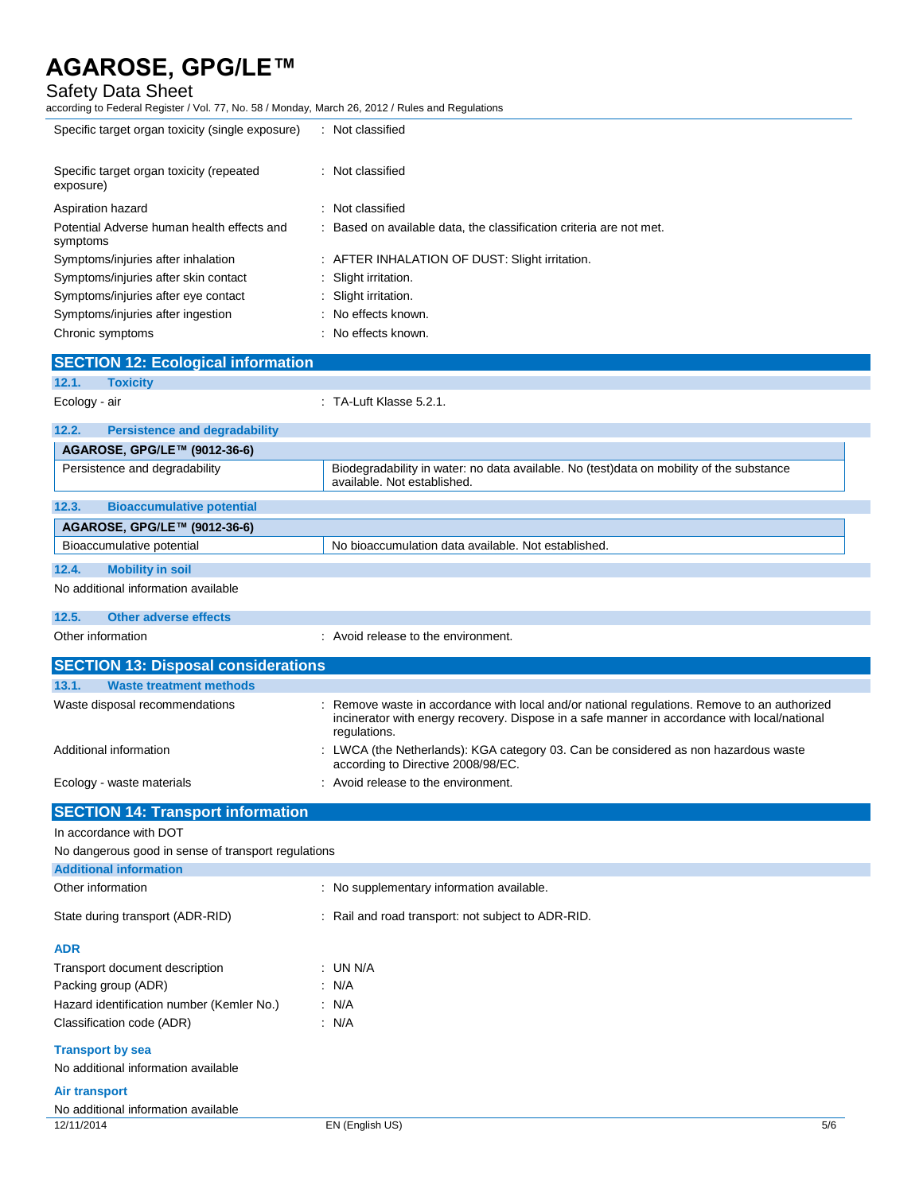## Safety Data Sheet

according to Federal Register / Vol. 77, No. 58 / Monday, March 26, 2012 / Rules and Regulations

| $1000$ and $1000$ and $1000$ and $111$ , $10000$ and $1110$ , $10000$ and $1000$ and $1000$ |                                                                                                                                                                                                            |
|---------------------------------------------------------------------------------------------|------------------------------------------------------------------------------------------------------------------------------------------------------------------------------------------------------------|
| Specific target organ toxicity (single exposure)                                            | : Not classified                                                                                                                                                                                           |
| Specific target organ toxicity (repeated<br>exposure)                                       | : Not classified                                                                                                                                                                                           |
| Aspiration hazard                                                                           | : Not classified                                                                                                                                                                                           |
| Potential Adverse human health effects and<br>symptoms                                      | : Based on available data, the classification criteria are not met.                                                                                                                                        |
| Symptoms/injuries after inhalation                                                          | : AFTER INHALATION OF DUST: Slight irritation.                                                                                                                                                             |
| Symptoms/injuries after skin contact                                                        | : Slight irritation.                                                                                                                                                                                       |
| Symptoms/injuries after eye contact                                                         | : Slight irritation.                                                                                                                                                                                       |
| Symptoms/injuries after ingestion<br>Chronic symptoms                                       | No effects known.<br>: No effects known.                                                                                                                                                                   |
|                                                                                             |                                                                                                                                                                                                            |
| <b>SECTION 12: Ecological information</b><br>12.1.<br><b>Toxicity</b>                       |                                                                                                                                                                                                            |
| Ecology - air                                                                               | $\therefore$ TA-Luft Klasse 5.2.1.                                                                                                                                                                         |
| 12.2.<br><b>Persistence and degradability</b>                                               |                                                                                                                                                                                                            |
| AGAROSE, GPG/LE™ (9012-36-6)                                                                |                                                                                                                                                                                                            |
| Persistence and degradability                                                               | Biodegradability in water: no data available. No (test)data on mobility of the substance<br>available. Not established.                                                                                    |
| 12.3.<br><b>Bioaccumulative potential</b>                                                   |                                                                                                                                                                                                            |
| AGAROSE, GPG/LE™ (9012-36-6)                                                                |                                                                                                                                                                                                            |
| Bioaccumulative potential                                                                   | No bioaccumulation data available. Not established.                                                                                                                                                        |
| 12.4.<br><b>Mobility in soil</b>                                                            |                                                                                                                                                                                                            |
| No additional information available                                                         |                                                                                                                                                                                                            |
| 12.5.<br><b>Other adverse effects</b>                                                       |                                                                                                                                                                                                            |
| Other information                                                                           | : Avoid release to the environment.                                                                                                                                                                        |
| <b>SECTION 13: Disposal considerations</b>                                                  |                                                                                                                                                                                                            |
| 13.1.<br><b>Waste treatment methods</b>                                                     |                                                                                                                                                                                                            |
| Waste disposal recommendations                                                              | Remove waste in accordance with local and/or national regulations. Remove to an authorized<br>incinerator with energy recovery. Dispose in a safe manner in accordance with local/national<br>regulations. |
| Additional information                                                                      | LWCA (the Netherlands): KGA category 03. Can be considered as non hazardous waste<br>according to Directive 2008/98/EC.                                                                                    |
| Ecology - waste materials                                                                   | Avoid release to the environment.                                                                                                                                                                          |
| <b>SECTION 14: Transport information</b>                                                    |                                                                                                                                                                                                            |
| In accordance with DOT                                                                      |                                                                                                                                                                                                            |
| No dangerous good in sense of transport regulations                                         |                                                                                                                                                                                                            |
| <b>Additional information</b>                                                               |                                                                                                                                                                                                            |
| Other information                                                                           | : No supplementary information available.                                                                                                                                                                  |
| State during transport (ADR-RID)                                                            | : Rail and road transport: not subject to ADR-RID.                                                                                                                                                         |
| <b>ADR</b>                                                                                  |                                                                                                                                                                                                            |
| Transport document description                                                              | : UN N/A                                                                                                                                                                                                   |
| Packing group (ADR)                                                                         | : N/A                                                                                                                                                                                                      |
| Hazard identification number (Kemler No.)<br>Classification code (ADR)                      | : N/A<br>: N/A                                                                                                                                                                                             |
| <b>Transport by sea</b><br>No additional information available                              |                                                                                                                                                                                                            |
| <b>Air transport</b>                                                                        |                                                                                                                                                                                                            |
| No additional information available                                                         |                                                                                                                                                                                                            |